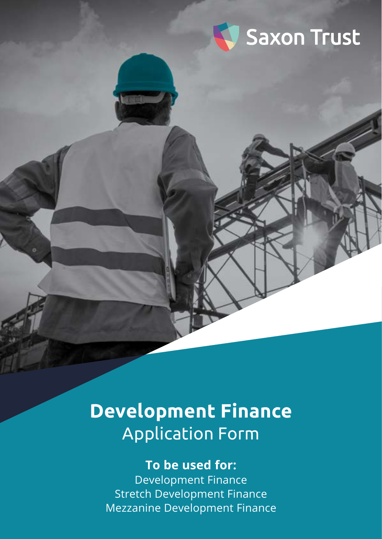

# **Development Finance** Application Form

# **To be used for:** Development Finance

Stretch Development Finance Mezzanine Development Finance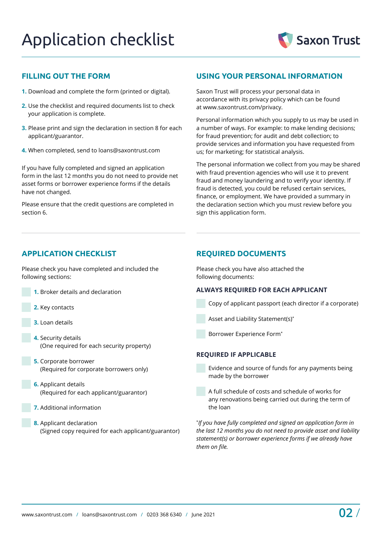

# **FILLING OUT THE FORM**

- **1.** Download and complete the form (printed or digital).
- **2.** Use the checklist and required documents list to check your application is complete.
- **3.** Please print and sign the declaration in section 8 for each applicant/guarantor.
- **4.** When completed, send to [loans@saxontrust.com](mailto:loans%40saxontrust.com?subject=)

If you have fully completed and signed an application form in the last 12 months you do not need to provide net asset forms or borrower experience forms if the details have not changed.

Please ensure that the credit questions are completed in section 6.

# **USING YOUR PERSONAL INFORMATION**

Saxon Trust will process your personal data in accordance with its privacy policy which can be found at [www.saxontrust.com/privacy](http://www.saxontrust.com/privacy).

Personal information which you supply to us may be used in a number of ways. For example: to make lending decisions; for fraud prevention; for audit and debt collection; to provide services and information you have requested from us; for marketing; for statistical analysis.

The personal information we collect from you may be shared with fraud prevention agencies who will use it to prevent fraud and money laundering and to verify your identity. If fraud is detected, you could be refused certain services, finance, or employment. We have provided a summary in the declaration section which you must review before you sign this application form.

# **APPLICATION CHECKLIST REQUIRED DOCUMENTS**

Please check you have completed and included the following sections:

- **1.** Broker details and declaration
- **2.** Key contacts
- **3.** Loan details
- **4.** Security details (One required for each security property)
- **5.** Corporate borrower (Required for corporate borrowers only)
- **6.** Applicant details (Required for each applicant/guarantor)
- **7.** Additional information
- **8.** Applicant declaration (Signed copy required for each applicant/guarantor)

Please check you have also attached the following documents:

## **ALWAYS REQUIRED FOR EACH APPLICANT**

- Copy of applicant passport (each director if a corporate)
- Asset and Liability Statement(s)\*
- Borrower Experience Form\*

## **REQUIRED IF APPLICABLE**

- Evidence and source of funds for any payments being made by the borrower
- A full schedule of costs and schedule of works for any renovations being carried out during the term of the loan

\* *If you have fully completed and signed an application form in the last 12 months you do not need to provide asset and liability statement(s) or borrower experience forms if we already have them on file.*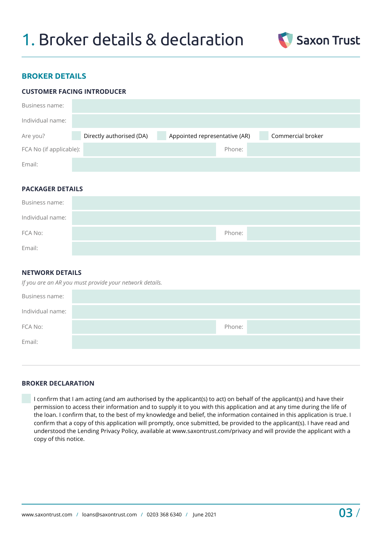

# **BROKER DETAILS**

# **CUSTOMER FACING INTRODUCER**

| Business name:          |                          |                               |                   |
|-------------------------|--------------------------|-------------------------------|-------------------|
| Individual name:        |                          |                               |                   |
| Are you?                | Directly authorised (DA) | Appointed representative (AR) | Commercial broker |
| FCA No (if applicable): |                          | Phone:                        |                   |
| Email:                  |                          |                               |                   |

## **PACKAGER DETAILS**

| Business name:   |        |
|------------------|--------|
| Individual name: |        |
| FCA No:          | Phone: |
| Email:           |        |

# **NETWORK DETAILS**

| If you are an AR you must provide your network details. |  |  |  |  |
|---------------------------------------------------------|--|--|--|--|
|---------------------------------------------------------|--|--|--|--|

| Business name:   |        |
|------------------|--------|
| Individual name: |        |
| FCA No:          | Phone: |
| Email:           |        |
|                  |        |

# **BROKER DECLARATION**

 I confirm that I am acting (and am authorised by the applicant(s) to act) on behalf of the applicant(s) and have their permission to access their information and to supply it to you with this application and at any time during the life of the loan. I confirm that, to the best of my knowledge and belief, the information contained in this application is true. I confirm that a copy of this application will promptly, once submitted, be provided to the applicant(s). I have read and understood the Lending Privacy Policy, available at [www.saxontrust.com/privacy](http://www.saxontrust.com/privacy) and will provide the applicant with a copy of this notice.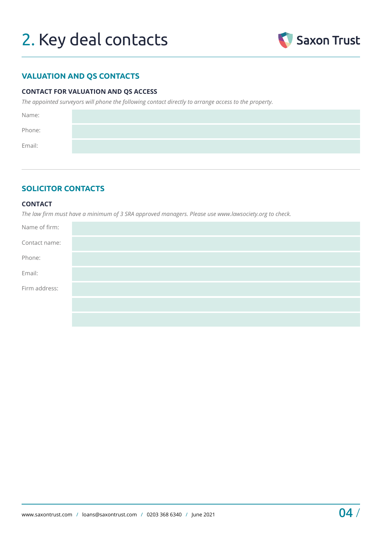# 2. Key deal contacts



# **VALUATION AND QS CONTACTS**

# **CONTACT FOR VALUATION AND QS ACCESS**

*The appointed surveyors will phone the following contact directly to arrange access to the property.* 

| Name:  |  |
|--------|--|
| Phone: |  |
| Email: |  |
|        |  |

# **SOLICITOR CONTACTS**

# **CONTACT**

*The law firm must have a minimum of 3 SRA approved managers. Please use [www.lawsociety.org](http://www.lawsociety.org) to check.* 

| Name of firm: |  |
|---------------|--|
| Contact name: |  |
| Phone:        |  |
| Email:        |  |
| Firm address: |  |
|               |  |
|               |  |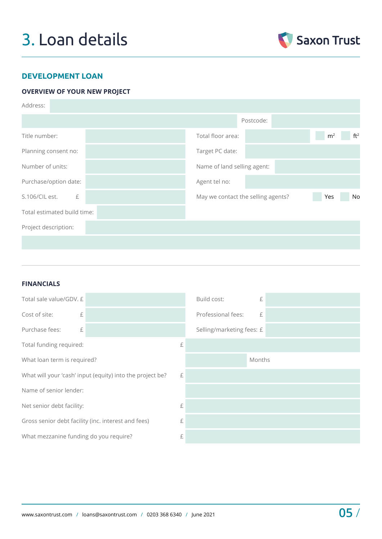# 3. Loan details



# **DEVELOPMENT LOAN**

# **OVERVIEW OF YOUR NEW PROJECT**

| Address:                    |                                    |                                   |
|-----------------------------|------------------------------------|-----------------------------------|
|                             | Postcode:                          |                                   |
| Title number:               | Total floor area:                  | ft <sup>2</sup><br>m <sup>2</sup> |
| Planning consent no:        | Target PC date:                    |                                   |
| Number of units:            | Name of land selling agent:        |                                   |
| Purchase/option date:       | Agent tel no:                      |                                   |
| S.106/CIL est.<br>£         | May we contact the selling agents? | Yes<br>No                         |
| Total estimated build time: |                                    |                                   |
| Project description:        |                                    |                                   |
|                             |                                    |                                   |

# **FINANCIALS**

| Total sale value/GDV. £                                   |   | Build cost:               | £      |  |
|-----------------------------------------------------------|---|---------------------------|--------|--|
| Cost of site:<br>£                                        |   | Professional fees:        | £      |  |
| Purchase fees:<br>£                                       |   | Selling/marketing fees: £ |        |  |
| Total funding required:                                   | £ |                           |        |  |
| What loan term is required?                               |   |                           | Months |  |
| What will your 'cash' input (equity) into the project be? |   |                           |        |  |
| Name of senior lender:                                    |   |                           |        |  |
| Net senior debt facility:                                 |   |                           |        |  |
| Gross senior debt facility (inc. interest and fees)       |   |                           |        |  |
| What mezzanine funding do you require?                    | £ |                           |        |  |
|                                                           |   |                           |        |  |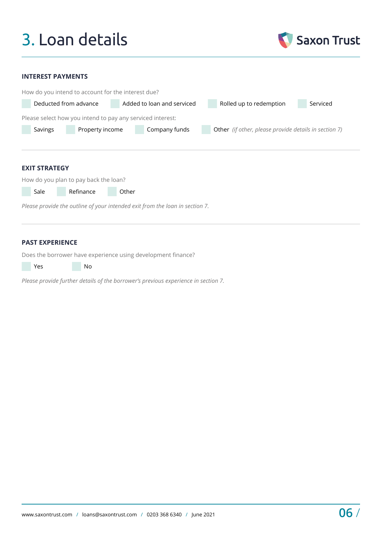# 3. Loan details



### **INTEREST PAYMENTS**

|                            | How do you intend to account for the interest due?         |                            |                                                       |          |  |  |  |
|----------------------------|------------------------------------------------------------|----------------------------|-------------------------------------------------------|----------|--|--|--|
| Deducted from advance      |                                                            | Added to loan and serviced | Rolled up to redemption                               | Serviced |  |  |  |
|                            | Please select how you intend to pay any serviced interest: |                            |                                                       |          |  |  |  |
| Property income<br>Savings |                                                            | Company funds              | Other (if other, please provide details in section 7) |          |  |  |  |
|                            |                                                            |                            |                                                       |          |  |  |  |
|                            |                                                            |                            |                                                       |          |  |  |  |
|                            | <b>EXIT STRATEGY</b>                                       |                            |                                                       |          |  |  |  |

How do you plan to pay back the loan?

Sale Refinance Other

*Please provide the outline of your intended exit from the loan in section 7.*

# **PAST EXPERIENCE**

Does the borrower have experience using development finance?

**Yes** No

*Please provide further details of the borrower's previous experience in section 7.*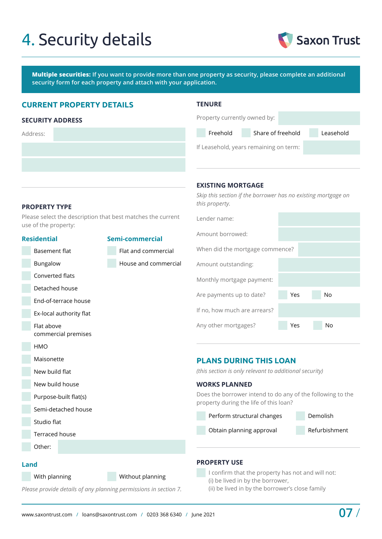# 4. Security details



**Multiple securities: If you want to provide more than one property as security, please complete an additional security form for each property and attach with your application.**

# **CURRENT PROPERTY DETAILS**

### **SECURITY ADDRESS**

Address:

# **TENURE**

**EXISTING MORTGAGE**

| Property currently owned by: |                                        |           |
|------------------------------|----------------------------------------|-----------|
| Freehold                     | Share of freehold                      | Leasehold |
|                              | If Leasehold, years remaining on term: |           |

## **PROPERTY TYPE**

Please select the description that best matches the current use of the property:

# **Residential** Basement flat Bungalow Converted flats Detached house End-of-terrace house Ex-local authority flat Flat above commercial premises HMO Maisonette New build flat New build house Purpose-built flat(s) Semi-detached house Studio flat Terraced house Other: **Semi-commercial** Flat and commercial House and commercial

*Skip this section if the borrower has no existing mortgage on this property.*

| Lender name:                    |     |    |  |
|---------------------------------|-----|----|--|
| Amount borrowed:                |     |    |  |
| When did the mortgage commence? |     |    |  |
| Amount outstanding:             |     |    |  |
| Monthly mortgage payment:       |     |    |  |
| Are payments up to date?        | Yes | No |  |
| If no, how much are arrears?    |     |    |  |
| Any other mortgages?            | Yes | No |  |

# **PLANS DURING THIS LOAN**

*(this section is only relevant to additional security)*

#### **WORKS PLANNED**

Does the borrower intend to do any of the following to the property during the life of this loan?

Perform structural changes Demolish Obtain planning approval Refurbishment

#### **Land**

With planning Without planning

*Please provide details of any planning permissions in section 7.*

# **PROPERTY USE**

 I confirm that the property has not and will not: (i) be lived in by the borrower, (ii) be lived in by the borrower's close family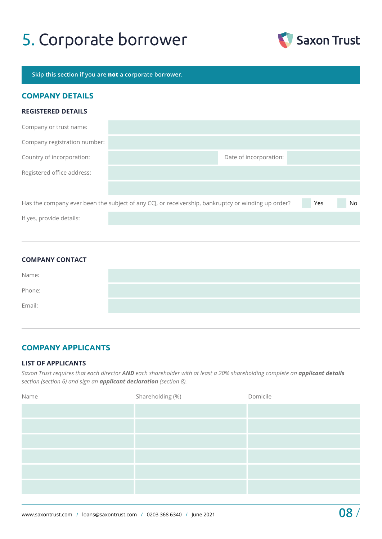# 5. Corporate borrower



**Skip this section if you are not a corporate borrower.**

# **COMPANY DETAILS**

### **REGISTERED DETAILS**

| Company or trust name:       |                                                                                                    |     |     |
|------------------------------|----------------------------------------------------------------------------------------------------|-----|-----|
| Company registration number: |                                                                                                    |     |     |
| Country of incorporation:    | Date of incorporation:                                                                             |     |     |
| Registered office address:   |                                                                                                    |     |     |
|                              |                                                                                                    |     |     |
|                              | Has the company ever been the subject of any CCJ, or receivership, bankruptcy or winding up order? | Yes | No. |
| If yes, provide details:     |                                                                                                    |     |     |

| <b>COMPANY CONTACT</b> |  |  |
|------------------------|--|--|
| Name:                  |  |  |
| Phone:                 |  |  |
| Email:                 |  |  |

# **COMPANY APPLICANTS**

## **LIST OF APPLICANTS**

*Saxon Trust requires that each director AND each shareholder with at least a 20% shareholding complete an applicant details section (section 6) and sign an applicant declaration (section 8).*

| Shareholding (%) | Domicile |
|------------------|----------|
|                  |          |
|                  |          |
|                  |          |
|                  |          |
|                  |          |
|                  |          |
|                  |          |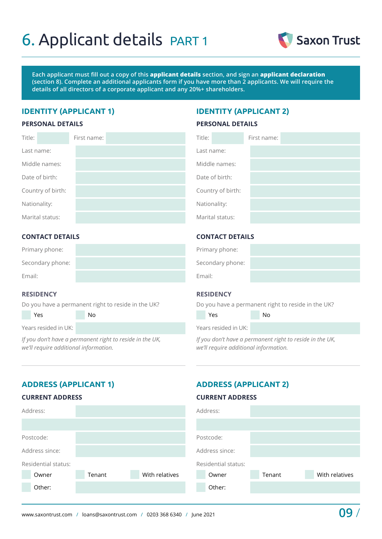# 6. Applicant details PART 1



**Each applicant must fill out a copy of this applicant details section, and sign an applicant declaration (section 8). Complete an additional applicants form if you have more than 2 applicants. We will require the details of all directors of a corporate applicant and any 20%+ shareholders.**

# **IDENTITY (APPLICANT 1) IDENTITY (APPLICANT 2)**

#### **PERSONAL DETAILS**

## **PERSONAL DETAILS**

| Title:            | First name: | Title:            | First name: |
|-------------------|-------------|-------------------|-------------|
| Last name:        |             | Last name:        |             |
| Middle names:     |             |                   |             |
| Date of birth:    |             |                   |             |
| Country of birth: |             | Country of birth: |             |
| Nationality:      |             | Nationality:      |             |
| Marital status:   |             | Marital status:   |             |

# **CONTACT DETAILS**

| Primary phone:   |  |
|------------------|--|
| Secondary phone: |  |
| Email:           |  |

## **RESIDENCY**

Do you have a permanent right to reside in the UK?

Yes No

Years resided in UK:

*If you don't have a permanent right to reside in the UK, we'll require additional information.* 

# **CONTACT DETAILS**

| Primary phone:   |  |
|------------------|--|
| Secondary phone: |  |
| Email:           |  |

# **RESIDENCY**

Do you have a permanent right to reside in the UK?

| Yes                  | Nο |  |
|----------------------|----|--|
| Years resided in UK: |    |  |

*If you don't have a permanent right to reside in the UK, we'll require additional information.* 

# **ADDRESS (APPLICANT 1) ADDRESS (APPLICANT 2)**

### **CURRENT ADDRESS**

# **CURRENT ADDRESS**

| Address:            |        |                | Address:            |        |                |
|---------------------|--------|----------------|---------------------|--------|----------------|
|                     |        |                |                     |        |                |
| Postcode:           |        |                | Postcode:           |        |                |
| Address since:      |        |                | Address since:      |        |                |
| Residential status: |        |                | Residential status: |        |                |
| Owner               | Tenant | With relatives | Owner               | Tenant | With relatives |
| Other:              |        |                | Other:              |        |                |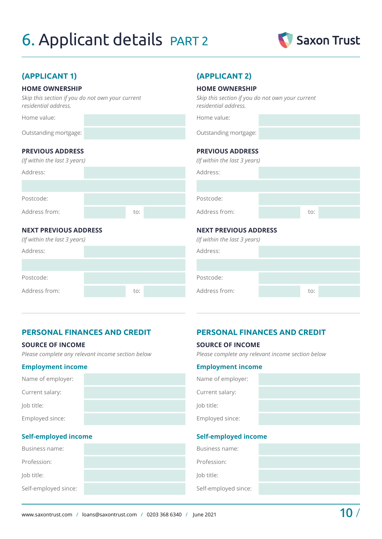# 6. Applicant details PART 2



# **(APPLICANT 1) (APPLICANT 2)**

# **HOME OWNERSHIP**

*Skip this section if you do not own your current residential address.*

Home value:

Outstanding mortgage:

# **PREVIOUS ADDRESS**

| (If within the last 3 years) |     |  |
|------------------------------|-----|--|
| Address:                     |     |  |
|                              |     |  |
| Postcode:                    |     |  |
| Address from:                | to: |  |
|                              |     |  |

# **NEXT PREVIOUS ADDRESS**

*(If within the last 3 years)*

| Address:      |     |  |
|---------------|-----|--|
|               |     |  |
| Postcode:     |     |  |
| Address from: | to: |  |

# **HOME OWNERSHIP**

*Skip this section if you do not own your current residential address.*

Home value:

Outstanding mortgage:

# **PREVIOUS ADDRESS**

| (If within the last 3 years) |     |  |
|------------------------------|-----|--|
| Address:                     |     |  |
|                              |     |  |
| Postcode:                    |     |  |
| Address from:                | to: |  |
| .                            |     |  |

# **NEXT PREVIOUS ADDRESS**

|  | (If within the last 3 years) |  |
|--|------------------------------|--|
|  |                              |  |

| Address:      |     |  |
|---------------|-----|--|
|               |     |  |
| Postcode:     |     |  |
| Address from: | to: |  |
|               |     |  |

## **SOURCE OF INCOME**

*Please complete any relevant income section below*

# **Employment income**

| Name of employer: |  |
|-------------------|--|
| Current salary:   |  |
| Job title:        |  |
| Employed since:   |  |

# **Self-employed income**

| Business name:       | Business name:    |
|----------------------|-------------------|
| Profession:          | Profession:       |
| Job title:           | Job title:        |
| Self-employed since: | Self-employed sin |

# **PERSONAL FINANCES AND CREDIT PERSONAL FINANCES AND CREDIT**

#### **SOURCE OF INCOME**

*Please complete any relevant income section below*

#### **Employment income**

| Name of employer: |  |
|-------------------|--|
| Current salary:   |  |
| Job title:        |  |
| Employed since:   |  |

# **Self-employed income**

| Business name:       |  |
|----------------------|--|
| Profession:          |  |
| Job title:           |  |
| Self-employed since: |  |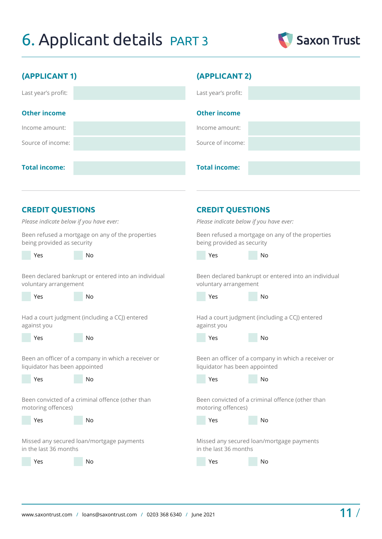# 6. Applicant details PART 3



| (APPLICANT 1)                                        | (APPLICANT 2)                                        |
|------------------------------------------------------|------------------------------------------------------|
| Last year's profit:                                  | Last year's profit:                                  |
| <b>Other income</b>                                  | <b>Other income</b>                                  |
| Income amount:                                       | Income amount:                                       |
| Source of income:                                    | Source of income:                                    |
| <b>Total income:</b>                                 | <b>Total income:</b>                                 |
| <b>CREDIT QUESTIONS</b>                              | <b>CREDIT QUESTIONS</b>                              |
| Please indicate below if you have ever:              | Please indicate below if you have ever:              |
| Been refused a mortgage on any of the properties     | Been refused a mortgage on any of the properties     |
| being provided as security                           | being provided as security                           |
| Yes                                                  | Yes                                                  |
| No.                                                  | No                                                   |
| Been declared bankrupt or entered into an individual | Been declared bankrupt or entered into an individual |
| voluntary arrangement                                | voluntary arrangement                                |
| Yes                                                  | Yes                                                  |
| <b>No</b>                                            | <b>No</b>                                            |
| Had a court judgment (including a CCJ) entered       | Had a court judgment (including a CCJ) entered       |
| against you                                          | against you                                          |
| No                                                   | No                                                   |
| Yes                                                  | Yes                                                  |
| Been an officer of a company in which a receiver or  | Been an officer of a company in which a receiver or  |
| liquidator has been appointed                        | liquidator has been appointed                        |
| No                                                   | No                                                   |
| Yes                                                  | Yes                                                  |
| Been convicted of a criminal offence (other than     | Been convicted of a criminal offence (other than     |
| motoring offences)                                   | motoring offences)                                   |
| Yes                                                  | Yes                                                  |
| No                                                   | No                                                   |

Missed any secured loan/mortgage payments in the last 36 months

Yes No

Missed any secured loan/mortgage payments

in the last 36 months

Yes No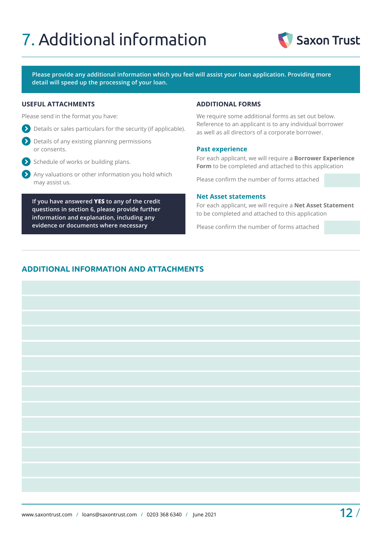# 7. Additional information



**Please provide any additional information which you feel will assist your loan application. Providing more detail will speed up the processing of your loan.**

### **USEFUL ATTACHMENTS ADDITIONAL FORMS**

Please send in the format you have:

- Details or sales particulars for the security (if applicable).
- Details of any existing planning permissions or consents.
- $\sum$  Schedule of works or building plans.
- Any valuations or other information you hold which may assist us.

**If you have answered YES to any of the credit questions in section 6, please provide further information and explanation, including any evidence or documents where necessary**

We require some additional forms as set out below. Reference to an applicant is to any individual borrower as well as all directors of a corporate borrower.

## **Past experience**

For each applicant, we will require a **Borrower Experience Form** to be completed and attached to this application

Please confirm the number of forms attached

### **Net Asset statements**

For each applicant, we will require a **Net Asset Statement** to be completed and attached to this application

Please confirm the number of forms attached

# **ADDITIONAL INFORMATION AND ATTACHMENTS**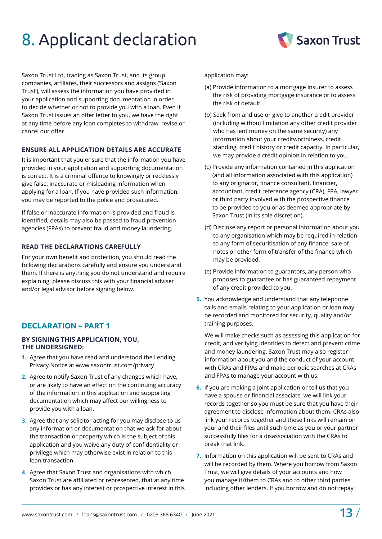# 8. Applicant declaration

Saxon Trust Ltd, trading as Saxon Trust, and its group companies, affiliates, their successors and assigns ('Saxon Trust'), will assess the information you have provided in your application and supporting documentation in order to decide whether or not to provide you with a loan. Even if Saxon Trust issues an offer letter to you, we have the right at any time before any loan completes to withdraw, revise or cancel our offer.

# **ENSURE ALL APPLICATION DETAILS ARE ACCURATE**

It is important that you ensure that the information you have provided in your application and supporting documentation is correct. It is a criminal offence to knowingly or recklessly give false, inaccurate or misleading information when applying for a loan. If you have provided such information, you may be reported to the police and prosecuted.

If false or inaccurate information is provided and fraud is identified, details may also be passed to fraud prevention agencies (FPAs) to prevent fraud and money laundering.

# **READ THE DECLARATIONS CAREFULLY**

For your own benefit and protection, you should read the following declarations carefully and ensure you understand them. If there is anything you do not understand and require explaining, please discuss this with your financial adviser and/or legal advisor before signing below.

# **DECLARATION – PART 1**

## **BY SIGNING THIS APPLICATION, YOU, THE UNDERSIGNED:**

- **1.** Agree that you have read and understood the Lending Privacy Notice at [www.saxontrust.com/privacy](http://www.saxontrust.com/privacy)
- **2.** Agree to notify Saxon Trust of any changes which have, or are likely to have an effect on the continuing accuracy of the information in this application and supporting documentation which may affect our willingness to provide you with a loan.
- **3.** Agree that any solicitor acting for you may disclose to us any information or documentation that we ask for about the transaction or property which is the subject of this application and you waive any duty of confidentiality or privilege which may otherwise exist in relation to this loan transaction.
- **4.** Agree that Saxon Trust and organisations with which Saxon Trust are affiliated or represented, that at any time provides or has any interest or prospective interest in this

application may:

- (a) Provide information to a mortgage insurer to assess the risk of providing mortgage insurance or to assess the risk of default.
- (b) Seek from and use or give to another credit provider (including without limitation any other credit provider who has lent money on the same security) any information about your creditworthiness, credit standing, credit history or credit capacity. In particular, we may provide a credit opinion in relation to you.
- (c) Provide any information contained in this application (and all information associated with this application) to any originator, finance consultant, financier, accountant, credit reference agency (CRA), FPA, lawyer or third party involved with the prospective finance to be provided to you or as deemed appropriate by Saxon Trust (in its sole discretion).
- (d) Disclose any report or personal information about you to any organisation which may be required in relation to any form of securitisation of any finance, sale of notes or other form of transfer of the finance which may be provided.
- (e) Provide information to guarantors, any person who proposes to guarantee or has guaranteed repayment of any credit provided to you.
- **5.** You acknowledge and understand that any telephone calls and emails relating to your application or loan may be recorded and monitored for security, quality and/or training purposes.

 We will make checks such as assessing this application for credit, and verifying identities to detect and prevent crime and money laundering. Saxon Trust may also register information about you and the conduct of your account with CRAs and FPAs and make periodic searches at CRAs and FPAs to manage your account with us.

- **6.** If you are making a joint application or tell us that you have a spouse or financial associate, we will link your records together so you must be sure that you have their agreement to disclose information about them. CRAs also link your records together and these links will remain on your and their files until such time as you or your partner successfully files for a disassociation with the CRAs to break that link.
- **7.** Information on this application will be sent to CRAs and will be recorded by them. Where you borrow from Saxon Trust, we will give details of your accounts and how you manage it/them to CRAs and to other third parties including other lenders. If you borrow and do not repay